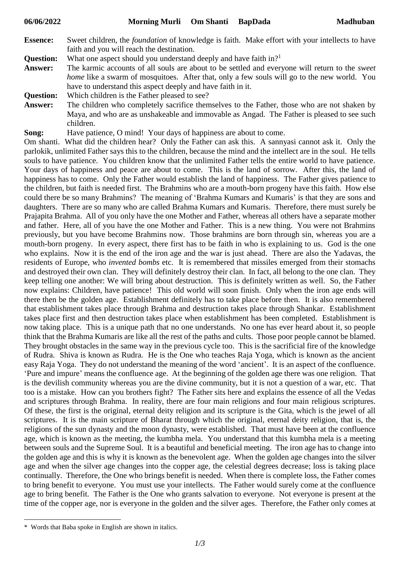- **Essence:** Sweet children, the *foundation* of knowledge is faith. Make effort with your intellects to have faith and you will reach the destination.
- **Question:** What one aspect should you understand deeply and have faith in?<sup>1</sup>
- **Answer:** The karmic accounts of all souls are about to be settled and everyone will return to the *sweet home* like a swarm of mosquitoes. After that, only a few souls will go to the new world. You have to understand this aspect deeply and have faith in it.
- **Question:** Which children is the Father pleased to see?
- **Answer:** The children who completely sacrifice themselves to the Father, those who are not shaken by Maya, and who are as unshakeable and immovable as Angad. The Father is pleased to see such children.
- **Song:** Have patience, O mind! Your days of happiness are about to come.

Om shanti. What did the children hear? Only the Father can ask this. A sannyasi cannot ask it. Only the parlokik, unlimited Father says this to the children, because the mind and the intellect are in the soul. He tells souls to have patience. You children know that the unlimited Father tells the entire world to have patience. Your days of happiness and peace are about to come. This is the land of sorrow. After this, the land of happiness has to come. Only the Father would establish the land of happiness. The Father gives patience to the children, but faith is needed first. The Brahmins who are a mouth-born progeny have this faith. How else could there be so many Brahmins? The meaning of 'Brahma Kumars and Kumaris' is that they are sons and daughters. There are so many who are called Brahma Kumars and Kumaris. Therefore, there must surely be Prajapita Brahma. All of you only have the one Mother and Father, whereas all others have a separate mother and father. Here, all of you have the one Mother and Father. This is a new thing. You were not Brahmins previously, but you have become Brahmins now. Those brahmins are born through sin, whereas you are a mouth-born progeny. In every aspect, there first has to be faith in who is explaining to us. God is the one who explains. Now it is the end of the iron age and the war is just ahead. There are also the Yadavas, the residents of Europe, who *invented bombs* etc. It is remembered that missiles emerged from their stomachs and destroyed their own clan. They will definitely destroy their clan. In fact, all belong to the one clan. They keep telling one another: We will bring about destruction. This is definitely written as well. So, the Father now explains: Children, have patience! This old world will soon finish. Only when the iron age ends will there then be the golden age. Establishment definitely has to take place before then. It is also remembered that establishment takes place through Brahma and destruction takes place through Shankar. Establishment takes place first and then destruction takes place when establishment has been completed. Establishment is now taking place. This is a unique path that no one understands. No one has ever heard about it, so people think that the Brahma Kumaris are like all the rest of the paths and cults. Those poor people cannot be blamed. They brought obstacles in the same way in the previous cycle too. This is the sacrificial fire of the knowledge of Rudra. Shiva is known as Rudra. He is the One who teaches Raja Yoga, which is known as the ancient easy Raja Yoga. They do not understand the meaning of the word 'ancient'. It is an aspect of the confluence. 'Pure and impure' means the confluence age. At the beginning of the golden age there was one religion. That is the devilish community whereas you are the divine community, but it is not a question of a war, etc. That too is a mistake. How can you brothers fight? The Father sits here and explains the essence of all the Vedas and scriptures through Brahma. In reality, there are four main religions and four main religious scriptures. Of these, the first is the original, eternal deity religion and its scripture is the Gita, which is the jewel of all scriptures. It is the main scripture of Bharat through which the original, eternal deity religion, that is, the religions of the sun dynasty and the moon dynasty, were established. That must have been at the confluence age, which is known as the meeting, the kumbha mela. You understand that this kumbha mela is a meeting between souls and the Supreme Soul. It is a beautiful and beneficial meeting. The iron age has to change into the golden age and this is why it is known as the benevolent age. When the golden age changes into the silver age and when the silver age changes into the copper age, the celestial degrees decrease; loss is taking place continually. Therefore, the One who brings benefit is needed. When there is complete loss, the Father comes to bring benefit to everyone. You must use your intellects. The Father would surely come at the confluence age to bring benefit. The Father is the One who grants salvation to everyone. Not everyone is present at the time of the copper age, nor is everyone in the golden and the silver ages. Therefore, the Father only comes at

1

<sup>\*</sup> Words that Baba spoke in English are shown in italics.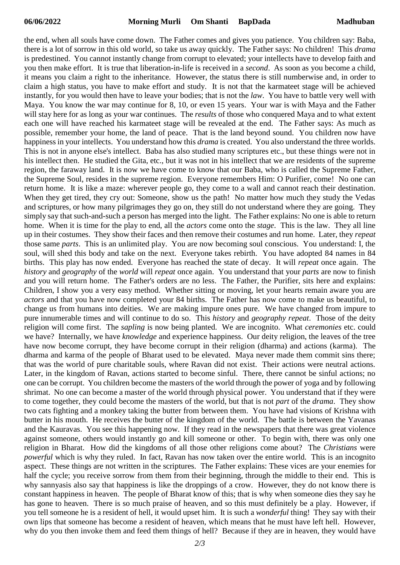the end, when all souls have come down. The Father comes and gives you patience. You children say: Baba, there is a lot of sorrow in this old world, so take us away quickly. The Father says: No children! This *drama* is predestined. You cannot instantly change from corrupt to elevated; your intellects have to develop faith and you then make effort. It is true that liberation-in-life is received in a *second*. As soon as you become a child, it means you claim a right to the inheritance. However, the status there is still numberwise and, in order to claim a high status, you have to make effort and study. It is not that the karmateet stage will be achieved instantly, for you would then have to leave your bodies; that is not the *law*. You have to battle very well with Maya. You know the war may continue for 8, 10, or even 15 years. Your war is with Maya and the Father will stay here for as long as your war continues. The *results* of those who conquered Maya and to what extent each one will have reached his karmateet stage will be revealed at the end. The Father says: As much as possible, remember your home, the land of peace. That is the land beyond sound. You children now have happiness in your intellects. You understand how this *drama* is created. You also understand the three worlds. This is not in anyone else's intellect. Baba has also studied many scriptures etc., but these things were not in his intellect then. He studied the Gita, etc., but it was not in his intellect that we are residents of the supreme region, the faraway land. It is now we have come to know that our Baba, who is called the Supreme Father, the Supreme Soul, resides in the supreme region. Everyone remembers Him: O Purifier, come! No one can return home. It is like a maze: wherever people go, they come to a wall and cannot reach their destination. When they get tired, they cry out: Someone, show us the path! No matter how much they study the Vedas and scriptures, or how many pilgrimages they go on, they still do not understand where they are going. They simply say that such-and-such a person has merged into the light. The Father explains: No one is able to return home. When it is time for the play to end, all the *actors* come onto the *stage*. This is the law. They all line up in their costumes. They show their faces and then remove their costumes and run home. Later, they *repeat* those same *parts*. This is an unlimited play. You are now becoming soul conscious. You understand: I, the soul, will shed this body and take on the next. Everyone takes rebirth. You have adopted 84 names in 84 births. This play has now ended. Everyone has reached the state of decay. It will *repeat* once again. The *history* and *geography* of the *world* will *repeat* once again. You understand that your *parts* are now to finish and you will return home. The Father's orders are no less. The Father, the Purifier, sits here and explains: Children, I show you a very easy method. Whether sitting or moving, let your hearts remain aware you are *actors* and that you have now completed your 84 births. The Father has now come to make us beautiful, to change us from humans into deities. We are making impure ones pure. We have changed from impure to pure innumerable times and will continue to do so. This *history* and *geography repeat*. Those of the deity religion will come first. The *sapling* is now being planted. We are incognito. What *ceremonies* etc. could we have? Internally, we have *knowledge* and experience happiness. Our deity religion, the leaves of the tree have now become corrupt, they have become corrupt in their religion (dharma) and actions (karma). The dharma and karma of the people of Bharat used to be elevated. Maya never made them commit sins there; that was the world of pure charitable souls, where Ravan did not exist. Their actions were neutral actions. Later, in the kingdom of Ravan, actions started to become sinful. There, there cannot be sinful actions; no one can be corrupt. You children become the masters of the world through the power of yoga and by following shrimat. No one can become a master of the world through physical power. You understand that if they were to come together, they could become the masters of the world, but that is not *part* of the *drama*. They show two cats fighting and a monkey taking the butter from between them. You have had visions of Krishna with butter in his mouth. He receives the butter of the kingdom of the world. The battle is between the Yavanas and the Kauravas. You see this happening now. If they read in the newspapers that there was great violence against someone, others would instantly go and kill someone or other. To begin with, there was only one religion in Bharat. How did the kingdoms of all those other religions come about? The *Christians* were *powerful* which is why they ruled. In fact, Ravan has now taken over the entire world. This is an incognito aspect. These things are not written in the scriptures. The Father explains: These vices are your enemies for half the cycle; you receive sorrow from them from their beginning, through the middle to their end. This is why sannyasis also say that happiness is like the droppings of a crow. However, they do not know there is constant happiness in heaven. The people of Bharat know of this; that is why when someone dies they say he has gone to heaven. There is so much praise of heaven, and so this must definitely be a play. However, if you tell someone he is a resident of hell, it would upset him. It is such a *wonderful* thing! They say with their own lips that someone has become a resident of heaven, which means that he must have left hell. However, why do you then invoke them and feed them things of hell? Because if they are in heaven, they would have